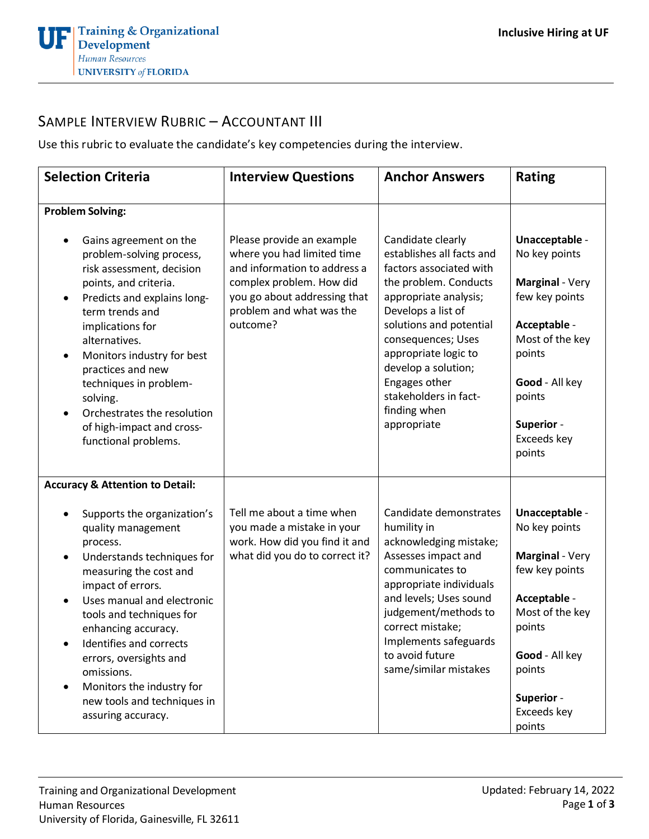

## SAMPLE INTERVIEW RUBRIC – ACCOUNTANT III

Use this rubric to evaluate the candidate's key competencies during the interview.

| <b>Selection Criteria</b>                                                                                                                                                                                                                                                                                                                                                                                                              | <b>Interview Questions</b>                                                                                                                                                                  | <b>Anchor Answers</b>                                                                                                                                                                                                                                                                                                      | <b>Rating</b>                                                                                                                                                                               |
|----------------------------------------------------------------------------------------------------------------------------------------------------------------------------------------------------------------------------------------------------------------------------------------------------------------------------------------------------------------------------------------------------------------------------------------|---------------------------------------------------------------------------------------------------------------------------------------------------------------------------------------------|----------------------------------------------------------------------------------------------------------------------------------------------------------------------------------------------------------------------------------------------------------------------------------------------------------------------------|---------------------------------------------------------------------------------------------------------------------------------------------------------------------------------------------|
| <b>Problem Solving:</b><br>Gains agreement on the<br>problem-solving process,<br>risk assessment, decision<br>points, and criteria.<br>Predicts and explains long-<br>٠<br>term trends and<br>implications for<br>alternatives.<br>Monitors industry for best<br>$\bullet$<br>practices and new<br>techniques in problem-<br>solving.<br>Orchestrates the resolution<br>$\bullet$<br>of high-impact and cross-<br>functional problems. | Please provide an example<br>where you had limited time<br>and information to address a<br>complex problem. How did<br>you go about addressing that<br>problem and what was the<br>outcome? | Candidate clearly<br>establishes all facts and<br>factors associated with<br>the problem. Conducts<br>appropriate analysis;<br>Develops a list of<br>solutions and potential<br>consequences; Uses<br>appropriate logic to<br>develop a solution;<br>Engages other<br>stakeholders in fact-<br>finding when<br>appropriate | Unacceptable -<br>No key points<br>Marginal - Very<br>few key points<br>Acceptable -<br>Most of the key<br>points<br>Good - All key<br>points<br><b>Superior -</b><br>Exceeds key<br>points |
| <b>Accuracy &amp; Attention to Detail:</b>                                                                                                                                                                                                                                                                                                                                                                                             |                                                                                                                                                                                             |                                                                                                                                                                                                                                                                                                                            |                                                                                                                                                                                             |
| Supports the organization's<br>$\bullet$<br>quality management<br>process.<br>Understands techniques for<br>$\bullet$<br>measuring the cost and<br>impact of errors.<br>Uses manual and electronic<br>$\bullet$<br>tools and techniques for<br>enhancing accuracy.<br>Identifies and corrects<br>errors, oversights and<br>omissions.<br>Monitors the industry for<br>٠<br>new tools and techniques in<br>assuring accuracy.           | Tell me about a time when<br>you made a mistake in your<br>work. How did you find it and<br>what did you do to correct it?                                                                  | Candidate demonstrates<br>humility in<br>acknowledging mistake;<br>Assesses impact and<br>communicates to<br>appropriate individuals<br>and levels; Uses sound<br>judgement/methods to<br>correct mistake;<br>Implements safeguards<br>to avoid future<br>same/similar mistakes                                            | Unacceptable -<br>No key points<br>Marginal - Very<br>few key points<br>Acceptable -<br>Most of the key<br>points<br>Good - All key<br>points<br>Superior -<br>Exceeds key<br>points        |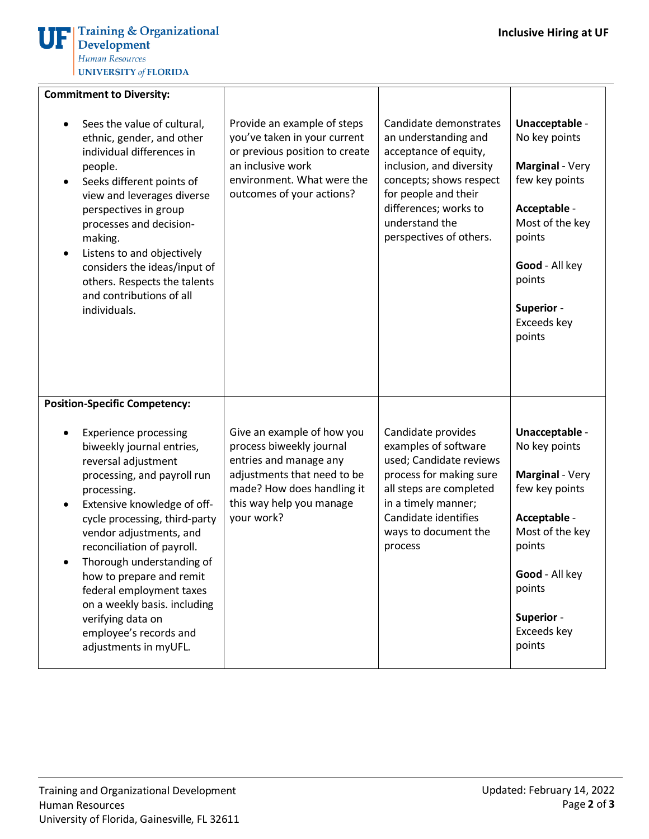| <b>Commitment to Diversity:</b>                                                                                                                                                                                                                                                                                                                                                                                                                                   |                                                                                                                                                                                         |                                                                                                                                                                                                                              |                                                                                                                                                                                      |
|-------------------------------------------------------------------------------------------------------------------------------------------------------------------------------------------------------------------------------------------------------------------------------------------------------------------------------------------------------------------------------------------------------------------------------------------------------------------|-----------------------------------------------------------------------------------------------------------------------------------------------------------------------------------------|------------------------------------------------------------------------------------------------------------------------------------------------------------------------------------------------------------------------------|--------------------------------------------------------------------------------------------------------------------------------------------------------------------------------------|
| Sees the value of cultural,<br>ethnic, gender, and other<br>individual differences in<br>people.<br>Seeks different points of<br>$\bullet$<br>view and leverages diverse<br>perspectives in group<br>processes and decision-<br>making.<br>Listens to and objectively<br>considers the ideas/input of<br>others. Respects the talents<br>and contributions of all<br>individuals.                                                                                 | Provide an example of steps<br>you've taken in your current<br>or previous position to create<br>an inclusive work<br>environment. What were the<br>outcomes of your actions?           | Candidate demonstrates<br>an understanding and<br>acceptance of equity,<br>inclusion, and diversity<br>concepts; shows respect<br>for people and their<br>differences; works to<br>understand the<br>perspectives of others. | Unacceptable -<br>No key points<br>Marginal - Very<br>few key points<br>Acceptable -<br>Most of the key<br>points<br>Good - All key<br>points<br>Superior -<br>Exceeds key<br>points |
| <b>Position-Specific Competency:</b>                                                                                                                                                                                                                                                                                                                                                                                                                              |                                                                                                                                                                                         |                                                                                                                                                                                                                              |                                                                                                                                                                                      |
| <b>Experience processing</b><br>biweekly journal entries,<br>reversal adjustment<br>processing, and payroll run<br>processing.<br>Extensive knowledge of off-<br>$\bullet$<br>cycle processing, third-party<br>vendor adjustments, and<br>reconciliation of payroll.<br>Thorough understanding of<br>how to prepare and remit<br>federal employment taxes<br>on a weekly basis. including<br>verifying data on<br>employee's records and<br>adjustments in myUFL. | Give an example of how you<br>process biweekly journal<br>entries and manage any<br>adjustments that need to be<br>made? How does handling it<br>this way help you manage<br>your work? | Candidate provides<br>examples of software<br>used; Candidate reviews<br>process for making sure<br>all steps are completed<br>in a timely manner;<br>Candidate identifies<br>ways to document the<br>process                | Unacceptable -<br>No key points<br>Marginal - Very<br>few key points<br>Acceptable -<br>Most of the key<br>points<br>Good - All key<br>points<br>Superior -<br>Exceeds key<br>points |